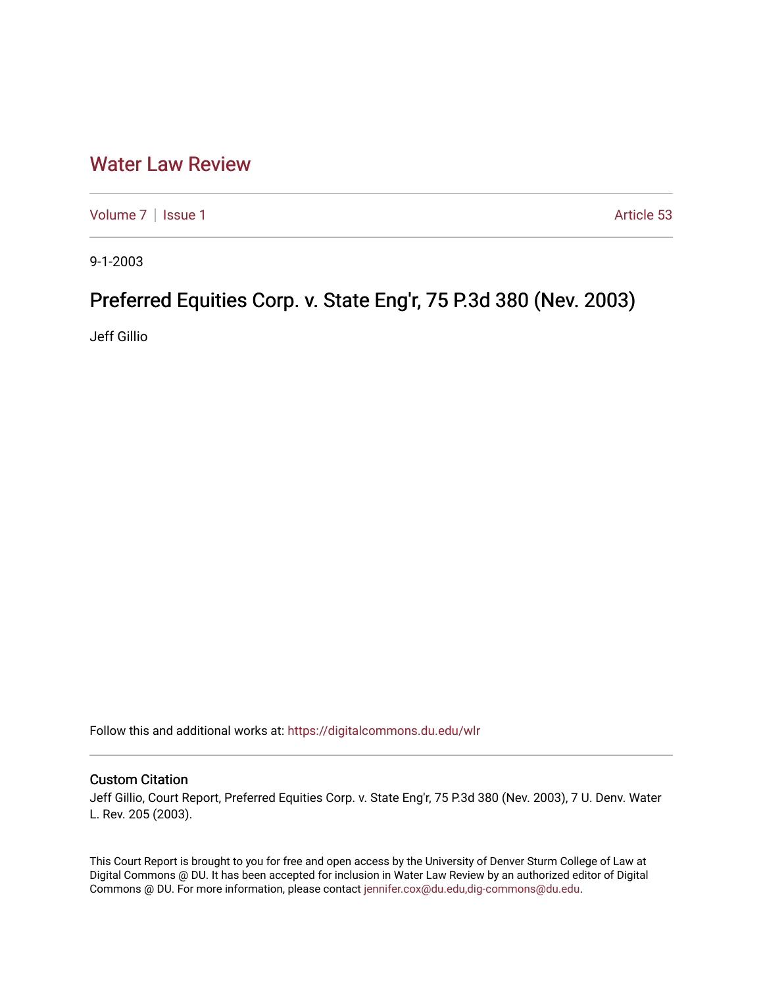## [Water Law Review](https://digitalcommons.du.edu/wlr)

[Volume 7](https://digitalcommons.du.edu/wlr/vol7) | [Issue 1](https://digitalcommons.du.edu/wlr/vol7/iss1) Article 53

9-1-2003

# Preferred Equities Corp. v. State Eng'r, 75 P.3d 380 (Nev. 2003)

Jeff Gillio

Follow this and additional works at: [https://digitalcommons.du.edu/wlr](https://digitalcommons.du.edu/wlr?utm_source=digitalcommons.du.edu%2Fwlr%2Fvol7%2Fiss1%2F53&utm_medium=PDF&utm_campaign=PDFCoverPages) 

## Custom Citation

Jeff Gillio, Court Report, Preferred Equities Corp. v. State Eng'r, 75 P.3d 380 (Nev. 2003), 7 U. Denv. Water L. Rev. 205 (2003).

This Court Report is brought to you for free and open access by the University of Denver Sturm College of Law at Digital Commons @ DU. It has been accepted for inclusion in Water Law Review by an authorized editor of Digital Commons @ DU. For more information, please contact [jennifer.cox@du.edu,dig-commons@du.edu.](mailto:jennifer.cox@du.edu,dig-commons@du.edu)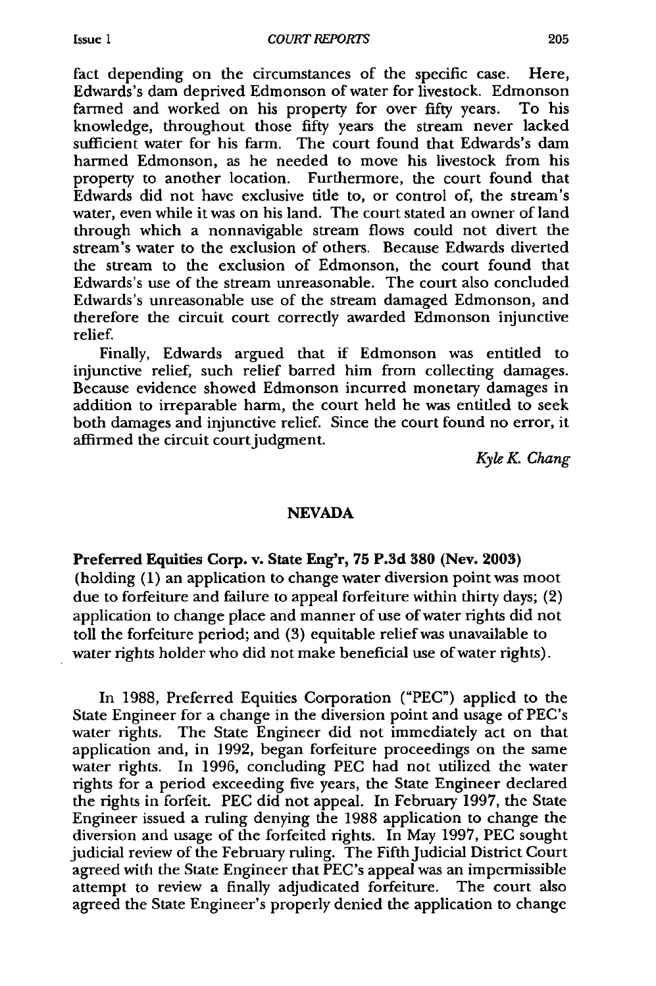fact depending on the circumstances of the specific case. Here, Edwards's dam deprived Edmonson of water for livestock. Edmonson farmed and worked on his property for over fifty years. To his knowledge, throughout those fifty years the stream never lacked sufficient water for his farm. The court found that Edwards's dam harmed Edmonson, as he needed to move his livestock from his property to another location. Furthermore, the court found that Edwards did not have exclusive tifle to, or control of, the stream's water, even while it was on his land. The court stated an owner of land through which a nonnavigable stream flows could not divert the stream's water to the exclusion of others. Because Edwards diverted the stream to the exclusion of Edmonson, the court found that Edwards's use of the stream unreasonable. The court also concluded Edwards's unreasonable use of the stream damaged Edmonson, and therefore the circuit court correctly awarded Edmonson injunctive relief.

Finally, Edwards argued that if Edmonson was entitled to injunctive relief, such relief barred him from collecting damages. Because evidence showed Edmonson incurred monetary damages in addition to irreparable harm, the court held he was entitled to seek both damages and injunctive relief. Since the court found no error, it affirmed the circuit court judgment.

*Kyle K Chang*

#### **NEVADA**

Preferred Equities Corp. v. State Eng'r, **75 P.3d 380** (Nev. **2003)** (holding (1) an application to change water diversion point was moot due to forfeiture and failure to appeal forfeiture within thirty days; (2) application to change place and manner of use of water rights did not toll the forfeiture period; and (3) equitable relief was unavailable to water rights holder who did not make beneficial use of water rights).

In 1988, Preferred Equities Corporation ("PEC") applied to the State Engineer for a change in the diversion point and usage of PEC's water rights. The State Engineer did not immediately act on that application and, in 1992, began forfeiture proceedings on the same water rights. In 1996, concluding **PEC** had not utilized the water rights for a period exceeding five years, the State Engineer declared the rights in forfeit. **PEC** did not appeal. In February 1997, the State Engineer issued a ruling denying the 1988 application to change the diversion and usage of the forfeited rights. In May 1997, **PEC** sought judicial review of the February ruling. The Fifth Judicial District Court agreed with the State Engineer that PEC's appeal was an impermissible attempt to review a finally adjudicated forfeiture. The court also agreed the State Engineer's properly denied the application to change

Issue **1**